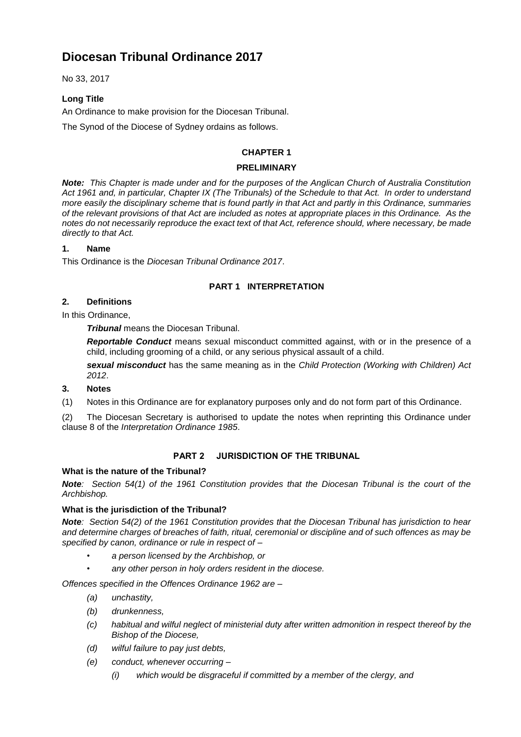No 33, 2017

# **Long Title**

An Ordinance to make provision for the Diocesan Tribunal.

The Synod of the Diocese of Sydney ordains as follows.

## **CHAPTER 1**

#### **PRELIMINARY**

*Note: This Chapter is made under and for the purposes of the Anglican Church of Australia Constitution Act 1961 and, in particular, Chapter IX (The Tribunals) of the Schedule to that Act. In order to understand more easily the disciplinary scheme that is found partly in that Act and partly in this Ordinance, summaries of the relevant provisions of that Act are included as notes at appropriate places in this Ordinance. As the notes do not necessarily reproduce the exact text of that Act, reference should, where necessary, be made directly to that Act.*

## **1. Name**

This Ordinance is the *Diocesan Tribunal Ordinance 2017*.

# **PART 1 INTERPRETATION**

## **2. Definitions**

In this Ordinance,

*Tribunal* means the Diocesan Tribunal.

*Reportable Conduct* means sexual misconduct committed against, with or in the presence of a child, including grooming of a child, or any serious physical assault of a child.

*sexual misconduct* has the same meaning as in the *Child Protection (Working with Children) Act 2012*.

## **3. Notes**

(1) Notes in this Ordinance are for explanatory purposes only and do not form part of this Ordinance.

(2) The Diocesan Secretary is authorised to update the notes when reprinting this Ordinance under clause 8 of the *Interpretation Ordinance 1985*.

## **PART 2 JURISDICTION OF THE TRIBUNAL**

## **What is the nature of the Tribunal?**

*Note: Section 54(1) of the 1961 Constitution provides that the Diocesan Tribunal is the court of the Archbishop.*

## **What is the jurisdiction of the Tribunal?**

*Note: Section 54(2) of the 1961 Constitution provides that the Diocesan Tribunal has jurisdiction to hear and determine charges of breaches of faith, ritual, ceremonial or discipline and of such offences as may be specified by canon, ordinance or rule in respect of –*

- *• a person licensed by the Archbishop, or*
- *• any other person in holy orders resident in the diocese.*

*Offences specified in the Offences Ordinance 1962 are –*

- *(a) unchastity,*
- *(b) drunkenness,*
- *(c) habitual and wilful neglect of ministerial duty after written admonition in respect thereof by the Bishop of the Diocese,*
- *(d) wilful failure to pay just debts,*
- *(e) conduct, whenever occurring –*
	- *(i) which would be disgraceful if committed by a member of the clergy, and*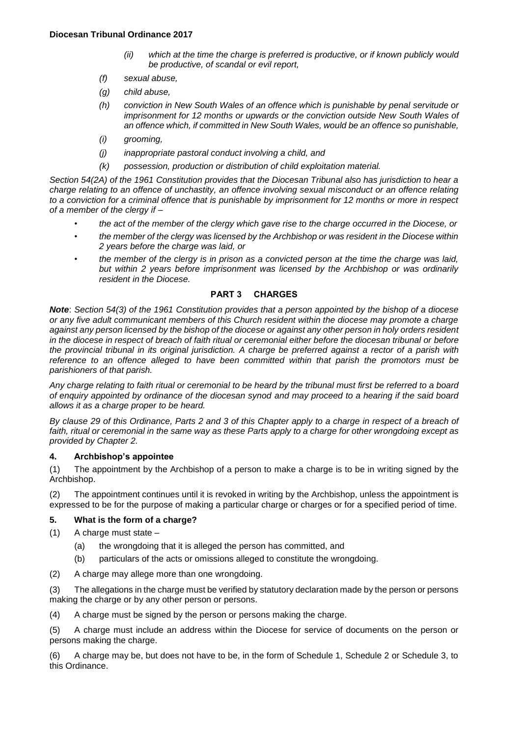- *(ii) which at the time the charge is preferred is productive, or if known publicly would be productive, of scandal or evil report,*
- *(f) sexual abuse,*
- *(g) child abuse,*
- *(h) conviction in New South Wales of an offence which is punishable by penal servitude or imprisonment for 12 months or upwards or the conviction outside New South Wales of an offence which, if committed in New South Wales, would be an offence so punishable,*
- *(i) grooming,*
- *(j) inappropriate pastoral conduct involving a child, and*
- *(k) possession, production or distribution of child exploitation material.*

*Section 54(2A) of the 1961 Constitution provides that the Diocesan Tribunal also has jurisdiction to hear a charge relating to an offence of unchastity, an offence involving sexual misconduct or an offence relating to a conviction for a criminal offence that is punishable by imprisonment for 12 months or more in respect of a member of the clergy if –*

- *• the act of the member of the clergy which gave rise to the charge occurred in the Diocese, or*
- *• the member of the clergy was licensed by the Archbishop or was resident in the Diocese within 2 years before the charge was laid, or*
- *• the member of the clergy is in prison as a convicted person at the time the charge was laid, but within 2 years before imprisonment was licensed by the Archbishop or was ordinarily resident in the Diocese.*

## **PART 3 CHARGES**

*Note*: *Section 54(3) of the 1961 Constitution provides that a person appointed by the bishop of a diocese or any five adult communicant members of this Church resident within the diocese may promote a charge against any person licensed by the bishop of the diocese or against any other person in holy orders resident in the diocese in respect of breach of faith ritual or ceremonial either before the diocesan tribunal or before the provincial tribunal in its original jurisdiction. A charge be preferred against a rector of a parish with reference to an offence alleged to have been committed within that parish the promotors must be parishioners of that parish.*

*Any charge relating to faith ritual or ceremonial to be heard by the tribunal must first be referred to a board of enquiry appointed by ordinance of the diocesan synod and may proceed to a hearing if the said board allows it as a charge proper to be heard.*

*By clause 29 of this Ordinance, Parts 2 and 3 of this Chapter apply to a charge in respect of a breach of faith, ritual or ceremonial in the same way as these Parts apply to a charge for other wrongdoing except as provided by Chapter 2.*

## **4. Archbishop's appointee**

(1) The appointment by the Archbishop of a person to make a charge is to be in writing signed by the Archbishop.

(2) The appointment continues until it is revoked in writing by the Archbishop, unless the appointment is expressed to be for the purpose of making a particular charge or charges or for a specified period of time.

## **5. What is the form of a charge?**

(1) A charge must state –

- (a) the wrongdoing that it is alleged the person has committed, and
- (b) particulars of the acts or omissions alleged to constitute the wrongdoing.
- (2) A charge may allege more than one wrongdoing.

(3) The allegations in the charge must be verified by statutory declaration made by the person or persons making the charge or by any other person or persons.

(4) A charge must be signed by the person or persons making the charge.

(5) A charge must include an address within the Diocese for service of documents on the person or persons making the charge.

(6) A charge may be, but does not have to be, in the form of Schedule 1, Schedule 2 or Schedule 3, to this Ordinance.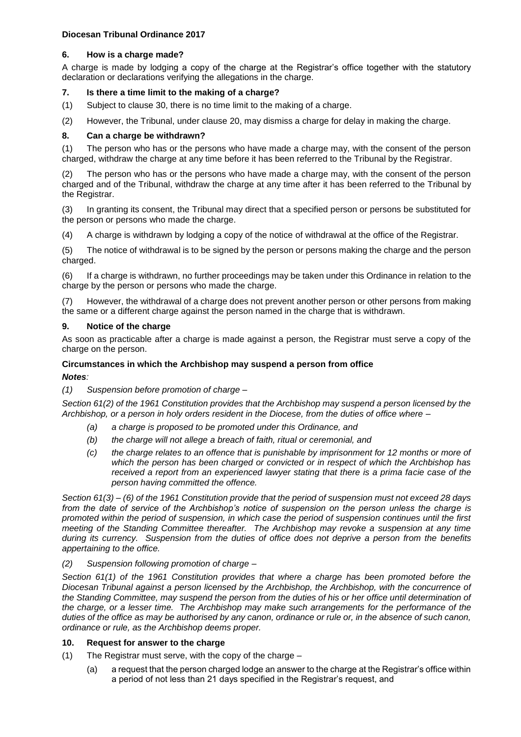## **6. How is a charge made?**

A charge is made by lodging a copy of the charge at the Registrar's office together with the statutory declaration or declarations verifying the allegations in the charge.

# **7. Is there a time limit to the making of a charge?**

(1) Subject to clause 30, there is no time limit to the making of a charge.

(2) However, the Tribunal, under clause 20, may dismiss a charge for delay in making the charge.

# **8. Can a charge be withdrawn?**

(1) The person who has or the persons who have made a charge may, with the consent of the person charged, withdraw the charge at any time before it has been referred to the Tribunal by the Registrar.

(2) The person who has or the persons who have made a charge may, with the consent of the person charged and of the Tribunal, withdraw the charge at any time after it has been referred to the Tribunal by the Registrar.

(3) In granting its consent, the Tribunal may direct that a specified person or persons be substituted for the person or persons who made the charge.

(4) A charge is withdrawn by lodging a copy of the notice of withdrawal at the office of the Registrar.

(5) The notice of withdrawal is to be signed by the person or persons making the charge and the person charged.

(6) If a charge is withdrawn, no further proceedings may be taken under this Ordinance in relation to the charge by the person or persons who made the charge.

(7) However, the withdrawal of a charge does not prevent another person or other persons from making the same or a different charge against the person named in the charge that is withdrawn.

## **9. Notice of the charge**

As soon as practicable after a charge is made against a person, the Registrar must serve a copy of the charge on the person.

# **Circumstances in which the Archbishop may suspend a person from office**

## *Notes:*

*(1) Suspension before promotion of charge –*

*Section 61(2) of the 1961 Constitution provides that the Archbishop may suspend a person licensed by the Archbishop, or a person in holy orders resident in the Diocese, from the duties of office where –*

- *(a) a charge is proposed to be promoted under this Ordinance, and*
- *(b) the charge will not allege a breach of faith, ritual or ceremonial, and*
- *(c) the charge relates to an offence that is punishable by imprisonment for 12 months or more of which the person has been charged or convicted or in respect of which the Archbishop has received a report from an experienced lawyer stating that there is a prima facie case of the person having committed the offence.*

*Section 61(3) – (6) of the 1961 Constitution provide that the period of suspension must not exceed 28 days from the date of service of the Archbishop's notice of suspension on the person unless the charge is promoted within the period of suspension, in which case the period of suspension continues until the first meeting of the Standing Committee thereafter. The Archbishop may revoke a suspension at any time during its currency. Suspension from the duties of office does not deprive a person from the benefits appertaining to the office.*

## *(2) Suspension following promotion of charge –*

*Section 61(1) of the 1961 Constitution provides that where a charge has been promoted before the Diocesan Tribunal against a person licensed by the Archbishop, the Archbishop, with the concurrence of the Standing Committee, may suspend the person from the duties of his or her office until determination of the charge, or a lesser time. The Archbishop may make such arrangements for the performance of the duties of the office as may be authorised by any canon, ordinance or rule or, in the absence of such canon, ordinance or rule, as the Archbishop deems proper.*

## **10. Request for answer to the charge**

- (1) The Registrar must serve, with the copy of the charge
	- (a) a request that the person charged lodge an answer to the charge at the Registrar's office within a period of not less than 21 days specified in the Registrar's request, and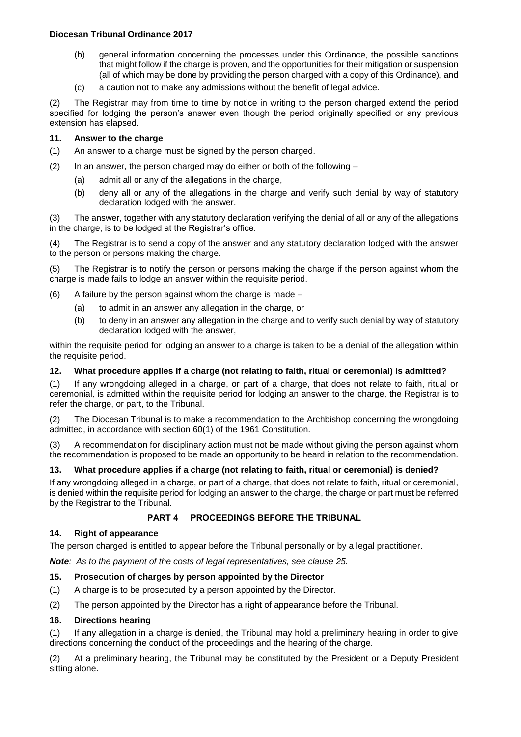- (b) general information concerning the processes under this Ordinance, the possible sanctions that might follow if the charge is proven, and the opportunities for their mitigation or suspension (all of which may be done by providing the person charged with a copy of this Ordinance), and
- (c) a caution not to make any admissions without the benefit of legal advice.

(2) The Registrar may from time to time by notice in writing to the person charged extend the period specified for lodging the person's answer even though the period originally specified or any previous extension has elapsed.

#### **11. Answer to the charge**

- (1) An answer to a charge must be signed by the person charged.
- (2) In an answer, the person charged may do either or both of the following
	- (a) admit all or any of the allegations in the charge,
	- (b) deny all or any of the allegations in the charge and verify such denial by way of statutory declaration lodged with the answer.

(3) The answer, together with any statutory declaration verifying the denial of all or any of the allegations in the charge, is to be lodged at the Registrar's office.

(4) The Registrar is to send a copy of the answer and any statutory declaration lodged with the answer to the person or persons making the charge.

(5) The Registrar is to notify the person or persons making the charge if the person against whom the charge is made fails to lodge an answer within the requisite period.

- (6) A failure by the person against whom the charge is made  $-$ 
	- (a) to admit in an answer any allegation in the charge, or
	- (b) to deny in an answer any allegation in the charge and to verify such denial by way of statutory declaration lodged with the answer,

within the requisite period for lodging an answer to a charge is taken to be a denial of the allegation within the requisite period.

#### **12. What procedure applies if a charge (not relating to faith, ritual or ceremonial) is admitted?**

(1) If any wrongdoing alleged in a charge, or part of a charge, that does not relate to faith, ritual or ceremonial, is admitted within the requisite period for lodging an answer to the charge, the Registrar is to refer the charge, or part, to the Tribunal.

(2) The Diocesan Tribunal is to make a recommendation to the Archbishop concerning the wrongdoing admitted, in accordance with section 60(1) of the 1961 Constitution.

(3) A recommendation for disciplinary action must not be made without giving the person against whom the recommendation is proposed to be made an opportunity to be heard in relation to the recommendation.

#### **13. What procedure applies if a charge (not relating to faith, ritual or ceremonial) is denied?**

If any wrongdoing alleged in a charge, or part of a charge, that does not relate to faith, ritual or ceremonial, is denied within the requisite period for lodging an answer to the charge, the charge or part must be referred by the Registrar to the Tribunal.

#### **PART 4 PROCEEDINGS BEFORE THE TRIBUNAL**

#### **14. Right of appearance**

The person charged is entitled to appear before the Tribunal personally or by a legal practitioner.

*Note: As to the payment of the costs of legal representatives, see clause 25.*

#### **15. Prosecution of charges by person appointed by the Director**

- (1) A charge is to be prosecuted by a person appointed by the Director.
- (2) The person appointed by the Director has a right of appearance before the Tribunal.

#### **16. Directions hearing**

(1) If any allegation in a charge is denied, the Tribunal may hold a preliminary hearing in order to give directions concerning the conduct of the proceedings and the hearing of the charge.

(2) At a preliminary hearing, the Tribunal may be constituted by the President or a Deputy President sitting alone.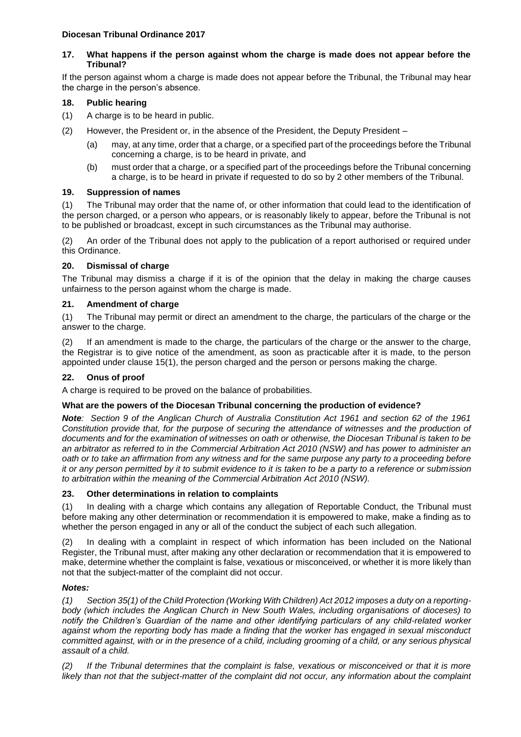#### **17. What happens if the person against whom the charge is made does not appear before the Tribunal?**

If the person against whom a charge is made does not appear before the Tribunal, the Tribunal may hear the charge in the person's absence.

## **18. Public hearing**

- (1) A charge is to be heard in public.
- (2) However, the President or, in the absence of the President, the Deputy President
	- (a) may, at any time, order that a charge, or a specified part of the proceedings before the Tribunal concerning a charge, is to be heard in private, and
	- (b) must order that a charge, or a specified part of the proceedings before the Tribunal concerning a charge, is to be heard in private if requested to do so by 2 other members of the Tribunal.

#### **19. Suppression of names**

(1) The Tribunal may order that the name of, or other information that could lead to the identification of the person charged, or a person who appears, or is reasonably likely to appear, before the Tribunal is not to be published or broadcast, except in such circumstances as the Tribunal may authorise.

(2) An order of the Tribunal does not apply to the publication of a report authorised or required under this Ordinance.

#### **20. Dismissal of charge**

The Tribunal may dismiss a charge if it is of the opinion that the delay in making the charge causes unfairness to the person against whom the charge is made.

#### **21. Amendment of charge**

(1) The Tribunal may permit or direct an amendment to the charge, the particulars of the charge or the answer to the charge.

(2) If an amendment is made to the charge, the particulars of the charge or the answer to the charge, the Registrar is to give notice of the amendment, as soon as practicable after it is made, to the person appointed under clause 15(1), the person charged and the person or persons making the charge.

## **22. Onus of proof**

A charge is required to be proved on the balance of probabilities.

## **What are the powers of the Diocesan Tribunal concerning the production of evidence?**

*Note: Section 9 of the Anglican Church of Australia Constitution Act 1961 and section 62 of the 1961 Constitution provide that, for the purpose of securing the attendance of witnesses and the production of documents and for the examination of witnesses on oath or otherwise, the Diocesan Tribunal is taken to be an arbitrator as referred to in the Commercial Arbitration Act 2010 (NSW) and has power to administer an oath or to take an affirmation from any witness and for the same purpose any party to a proceeding before it or any person permitted by it to submit evidence to it is taken to be a party to a reference or submission to arbitration within the meaning of the Commercial Arbitration Act 2010 (NSW).*

## **23. Other determinations in relation to complaints**

(1) In dealing with a charge which contains any allegation of Reportable Conduct, the Tribunal must before making any other determination or recommendation it is empowered to make, make a finding as to whether the person engaged in any or all of the conduct the subject of each such allegation.

In dealing with a complaint in respect of which information has been included on the National Register, the Tribunal must, after making any other declaration or recommendation that it is empowered to make, determine whether the complaint is false, vexatious or misconceived, or whether it is more likely than not that the subject-matter of the complaint did not occur.

## *Notes:*

*(1) Section 35(1) of the Child Protection (Working With Children) Act 2012 imposes a duty on a reportingbody (which includes the Anglican Church in New South Wales, including organisations of dioceses) to notify the Children's Guardian of the name and other identifying particulars of any child-related worker against whom the reporting body has made a finding that the worker has engaged in sexual misconduct committed against, with or in the presence of a child, including grooming of a child, or any serious physical assault of a child.*

*(2) If the Tribunal determines that the complaint is false, vexatious or misconceived or that it is more*  likely than not that the subject-matter of the complaint did not occur, any information about the complaint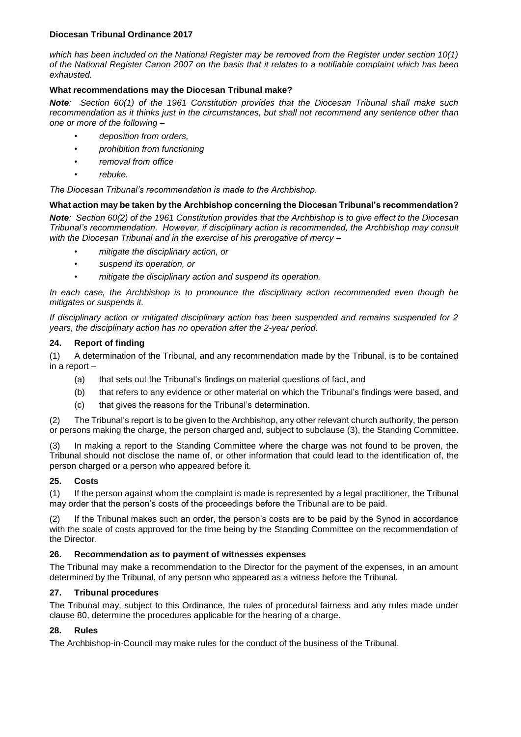*which has been included on the National Register may be removed from the Register under section 10(1) of the National Register Canon 2007 on the basis that it relates to a notifiable complaint which has been exhausted.*

#### **What recommendations may the Diocesan Tribunal make?**

*Note: Section 60(1) of the 1961 Constitution provides that the Diocesan Tribunal shall make such recommendation as it thinks just in the circumstances, but shall not recommend any sentence other than one or more of the following –*

- *• deposition from orders,*
- *• prohibition from functioning*
- *• removal from office*
- *• rebuke.*

*The Diocesan Tribunal's recommendation is made to the Archbishop.*

#### **What action may be taken by the Archbishop concerning the Diocesan Tribunal's recommendation?**

*Note: Section 60(2) of the 1961 Constitution provides that the Archbishop is to give effect to the Diocesan Tribunal's recommendation. However, if disciplinary action is recommended, the Archbishop may consult with the Diocesan Tribunal and in the exercise of his prerogative of mercy –*

- *• mitigate the disciplinary action, or*
- *• suspend its operation, or*
- *• mitigate the disciplinary action and suspend its operation.*

*In each case, the Archbishop is to pronounce the disciplinary action recommended even though he mitigates or suspends it.*

*If disciplinary action or mitigated disciplinary action has been suspended and remains suspended for 2 years, the disciplinary action has no operation after the 2-year period.*

#### **24. Report of finding**

(1) A determination of the Tribunal, and any recommendation made by the Tribunal, is to be contained in a report –

- (a) that sets out the Tribunal's findings on material questions of fact, and
- (b) that refers to any evidence or other material on which the Tribunal's findings were based, and
- (c) that gives the reasons for the Tribunal's determination.

(2) The Tribunal's report is to be given to the Archbishop, any other relevant church authority, the person or persons making the charge, the person charged and, subject to subclause (3), the Standing Committee.

(3) In making a report to the Standing Committee where the charge was not found to be proven, the Tribunal should not disclose the name of, or other information that could lead to the identification of, the person charged or a person who appeared before it.

#### **25. Costs**

(1) If the person against whom the complaint is made is represented by a legal practitioner, the Tribunal may order that the person's costs of the proceedings before the Tribunal are to be paid.

If the Tribunal makes such an order, the person's costs are to be paid by the Synod in accordance with the scale of costs approved for the time being by the Standing Committee on the recommendation of the Director.

#### **26. Recommendation as to payment of witnesses expenses**

The Tribunal may make a recommendation to the Director for the payment of the expenses, in an amount determined by the Tribunal, of any person who appeared as a witness before the Tribunal.

#### **27. Tribunal procedures**

The Tribunal may, subject to this Ordinance, the rules of procedural fairness and any rules made under clause 80, determine the procedures applicable for the hearing of a charge.

## **28. Rules**

The Archbishop-in-Council may make rules for the conduct of the business of the Tribunal.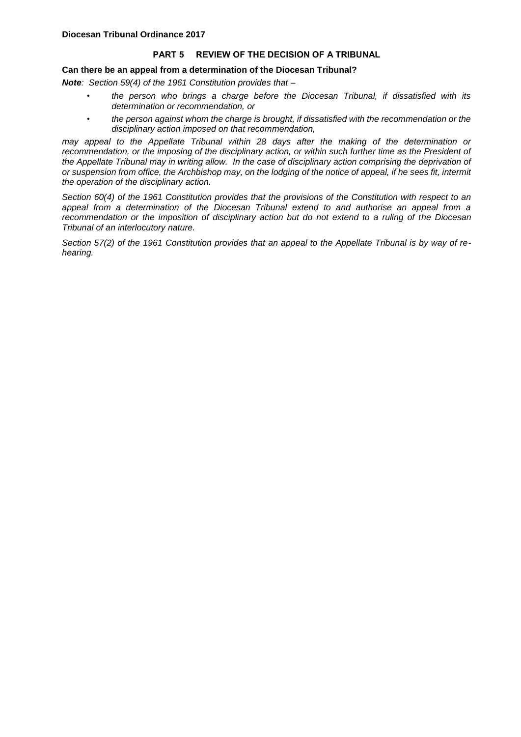#### **PART 5 REVIEW OF THE DECISION OF A TRIBUNAL**

#### **Can there be an appeal from a determination of the Diocesan Tribunal?**

*Note: Section 59(4) of the 1961 Constitution provides that –*

- *• the person who brings a charge before the Diocesan Tribunal, if dissatisfied with its determination or recommendation, or*
- *• the person against whom the charge is brought, if dissatisfied with the recommendation or the disciplinary action imposed on that recommendation,*

*may appeal to the Appellate Tribunal within 28 days after the making of the determination or recommendation, or the imposing of the disciplinary action, or within such further time as the President of*  the Appellate Tribunal may in writing allow. In the case of disciplinary action comprising the deprivation of *or suspension from office, the Archbishop may, on the lodging of the notice of appeal, if he sees fit, intermit the operation of the disciplinary action.*

*Section 60(4) of the 1961 Constitution provides that the provisions of the Constitution with respect to an appeal from a determination of the Diocesan Tribunal extend to and authorise an appeal from a recommendation or the imposition of disciplinary action but do not extend to a ruling of the Diocesan Tribunal of an interlocutory nature.*

*Section 57(2) of the 1961 Constitution provides that an appeal to the Appellate Tribunal is by way of rehearing.*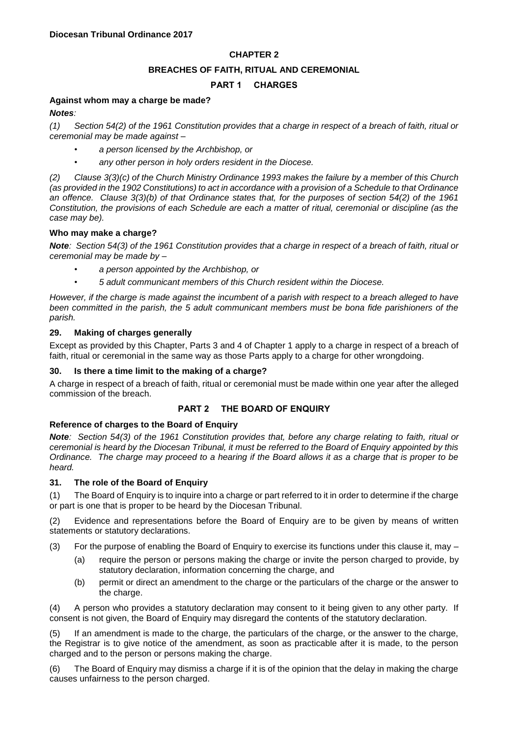# **CHAPTER 2**

## **BREACHES OF FAITH, RITUAL AND CEREMONIAL**

# **PART 1 CHARGES**

# **Against whom may a charge be made?**

*Notes:*

*(1) Section 54(2) of the 1961 Constitution provides that a charge in respect of a breach of faith, ritual or ceremonial may be made against –*

- *• a person licensed by the Archbishop, or*
- *• any other person in holy orders resident in the Diocese.*

*(2) Clause 3(3)(c) of the Church Ministry Ordinance 1993 makes the failure by a member of this Church (as provided in the 1902 Constitutions) to act in accordance with a provision of a Schedule to that Ordinance an offence. Clause 3(3)(b) of that Ordinance states that, for the purposes of section 54(2) of the 1961 Constitution, the provisions of each Schedule are each a matter of ritual, ceremonial or discipline (as the case may be).*

## **Who may make a charge?**

*Note: Section 54(3) of the 1961 Constitution provides that a charge in respect of a breach of faith, ritual or ceremonial may be made by –*

- *• a person appointed by the Archbishop, or*
- *• 5 adult communicant members of this Church resident within the Diocese.*

*However, if the charge is made against the incumbent of a parish with respect to a breach alleged to have been committed in the parish, the 5 adult communicant members must be bona fide parishioners of the parish.*

## **29. Making of charges generally**

Except as provided by this Chapter, Parts 3 and 4 of Chapter 1 apply to a charge in respect of a breach of faith, ritual or ceremonial in the same way as those Parts apply to a charge for other wrongdoing.

#### **30. Is there a time limit to the making of a charge?**

A charge in respect of a breach of faith, ritual or ceremonial must be made within one year after the alleged commission of the breach.

## **PART 2 THE BOARD OF ENQUIRY**

#### **Reference of charges to the Board of Enquiry**

*Note: Section 54(3) of the 1961 Constitution provides that, before any charge relating to faith, ritual or ceremonial is heard by the Diocesan Tribunal, it must be referred to the Board of Enquiry appointed by this Ordinance. The charge may proceed to a hearing if the Board allows it as a charge that is proper to be heard.*

## **31. The role of the Board of Enquiry**

(1) The Board of Enquiry is to inquire into a charge or part referred to it in order to determine if the charge or part is one that is proper to be heard by the Diocesan Tribunal.

(2) Evidence and representations before the Board of Enquiry are to be given by means of written statements or statutory declarations.

- (3) For the purpose of enabling the Board of Enquiry to exercise its functions under this clause it, may  $-$ 
	- (a) require the person or persons making the charge or invite the person charged to provide, by statutory declaration, information concerning the charge, and
	- (b) permit or direct an amendment to the charge or the particulars of the charge or the answer to the charge.

(4) A person who provides a statutory declaration may consent to it being given to any other party. If consent is not given, the Board of Enquiry may disregard the contents of the statutory declaration.

(5) If an amendment is made to the charge, the particulars of the charge, or the answer to the charge, the Registrar is to give notice of the amendment, as soon as practicable after it is made, to the person charged and to the person or persons making the charge.

(6) The Board of Enquiry may dismiss a charge if it is of the opinion that the delay in making the charge causes unfairness to the person charged.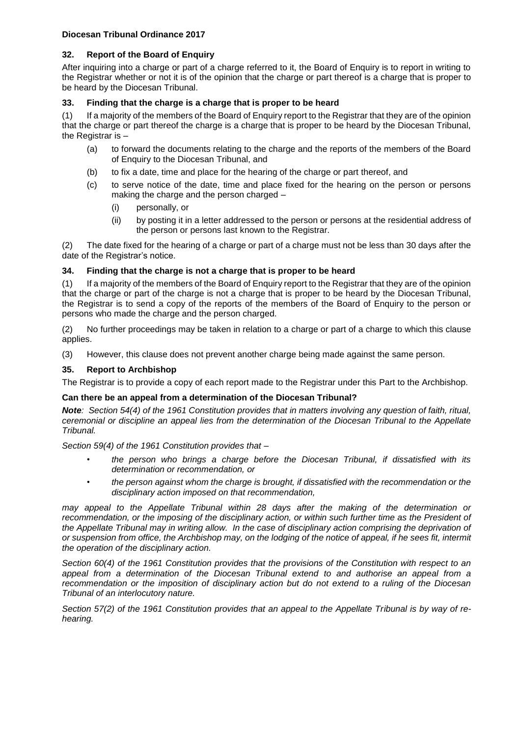# **32. Report of the Board of Enquiry**

After inquiring into a charge or part of a charge referred to it, the Board of Enquiry is to report in writing to the Registrar whether or not it is of the opinion that the charge or part thereof is a charge that is proper to be heard by the Diocesan Tribunal.

# **33. Finding that the charge is a charge that is proper to be heard**

(1) If a majority of the members of the Board of Enquiry report to the Registrar that they are of the opinion that the charge or part thereof the charge is a charge that is proper to be heard by the Diocesan Tribunal, the Registrar is -

- (a) to forward the documents relating to the charge and the reports of the members of the Board of Enquiry to the Diocesan Tribunal, and
- (b) to fix a date, time and place for the hearing of the charge or part thereof, and
- (c) to serve notice of the date, time and place fixed for the hearing on the person or persons making the charge and the person charged –
	- (i) personally, or
	- (ii) by posting it in a letter addressed to the person or persons at the residential address of the person or persons last known to the Registrar.

(2) The date fixed for the hearing of a charge or part of a charge must not be less than 30 days after the date of the Registrar's notice.

# **34. Finding that the charge is not a charge that is proper to be heard**

(1) If a majority of the members of the Board of Enquiry report to the Registrar that they are of the opinion that the charge or part of the charge is not a charge that is proper to be heard by the Diocesan Tribunal, the Registrar is to send a copy of the reports of the members of the Board of Enquiry to the person or persons who made the charge and the person charged.

(2) No further proceedings may be taken in relation to a charge or part of a charge to which this clause applies.

(3) However, this clause does not prevent another charge being made against the same person.

# **35. Report to Archbishop**

The Registrar is to provide a copy of each report made to the Registrar under this Part to the Archbishop.

## **Can there be an appeal from a determination of the Diocesan Tribunal?**

*Note: Section 54(4) of the 1961 Constitution provides that in matters involving any question of faith, ritual, ceremonial or discipline an appeal lies from the determination of the Diocesan Tribunal to the Appellate Tribunal.*

*Section 59(4) of the 1961 Constitution provides that –*

- *• the person who brings a charge before the Diocesan Tribunal, if dissatisfied with its determination or recommendation, or*
- *• the person against whom the charge is brought, if dissatisfied with the recommendation or the disciplinary action imposed on that recommendation,*

*may appeal to the Appellate Tribunal within 28 days after the making of the determination or*  recommendation, or the imposing of the disciplinary action, or within such further time as the President of *the Appellate Tribunal may in writing allow. In the case of disciplinary action comprising the deprivation of or suspension from office, the Archbishop may, on the lodging of the notice of appeal, if he sees fit, intermit the operation of the disciplinary action.*

*Section 60(4) of the 1961 Constitution provides that the provisions of the Constitution with respect to an appeal from a determination of the Diocesan Tribunal extend to and authorise an appeal from a recommendation or the imposition of disciplinary action but do not extend to a ruling of the Diocesan Tribunal of an interlocutory nature.*

*Section 57(2) of the 1961 Constitution provides that an appeal to the Appellate Tribunal is by way of rehearing.*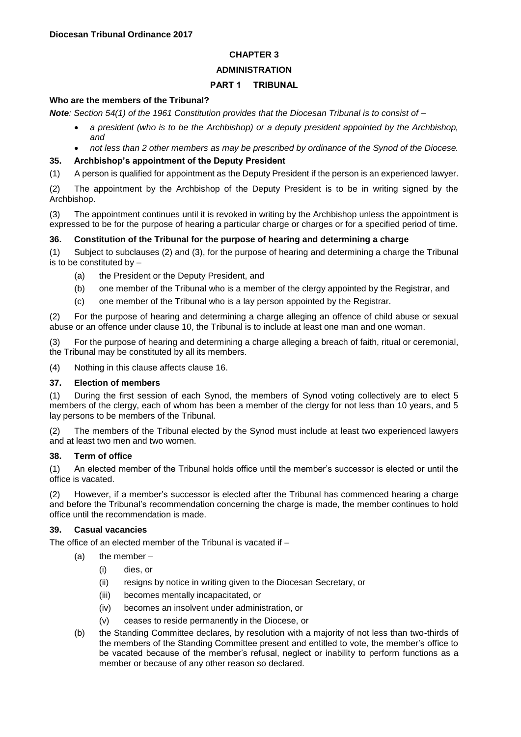# **CHAPTER 3**

# **ADMINISTRATION**

# **PART 1 TRIBUNAL**

#### **Who are the members of the Tribunal?**

*Note: Section 54(1) of the 1961 Constitution provides that the Diocesan Tribunal is to consist of –*

- *a president (who is to be the Archbishop) or a deputy president appointed by the Archbishop, and*
- *not less than 2 other members as may be prescribed by ordinance of the Synod of the Diocese.*

# **35. Archbishop's appointment of the Deputy President**

(1) A person is qualified for appointment as the Deputy President if the person is an experienced lawyer.

(2) The appointment by the Archbishop of the Deputy President is to be in writing signed by the Archbishop.

(3) The appointment continues until it is revoked in writing by the Archbishop unless the appointment is expressed to be for the purpose of hearing a particular charge or charges or for a specified period of time.

## **36. Constitution of the Tribunal for the purpose of hearing and determining a charge**

(1) Subject to subclauses (2) and (3), for the purpose of hearing and determining a charge the Tribunal is to be constituted by –

- (a) the President or the Deputy President, and
- (b) one member of the Tribunal who is a member of the clergy appointed by the Registrar, and
- (c) one member of the Tribunal who is a lay person appointed by the Registrar.

(2) For the purpose of hearing and determining a charge alleging an offence of child abuse or sexual abuse or an offence under clause 10, the Tribunal is to include at least one man and one woman.

(3) For the purpose of hearing and determining a charge alleging a breach of faith, ritual or ceremonial, the Tribunal may be constituted by all its members.

(4) Nothing in this clause affects clause 16.

## **37. Election of members**

(1) During the first session of each Synod, the members of Synod voting collectively are to elect 5 members of the clergy, each of whom has been a member of the clergy for not less than 10 years, and 5 lay persons to be members of the Tribunal.

(2) The members of the Tribunal elected by the Synod must include at least two experienced lawyers and at least two men and two women.

## **38. Term of office**

(1) An elected member of the Tribunal holds office until the member's successor is elected or until the office is vacated.

(2) However, if a member's successor is elected after the Tribunal has commenced hearing a charge and before the Tribunal's recommendation concerning the charge is made, the member continues to hold office until the recommendation is made.

## **39. Casual vacancies**

The office of an elected member of the Tribunal is vacated if –

- (a) the member
	- (i) dies, or
	- (ii) resigns by notice in writing given to the Diocesan Secretary, or
	- (iii) becomes mentally incapacitated, or
	- (iv) becomes an insolvent under administration, or
	- (v) ceases to reside permanently in the Diocese, or
- (b) the Standing Committee declares, by resolution with a majority of not less than two-thirds of the members of the Standing Committee present and entitled to vote, the member's office to be vacated because of the member's refusal, neglect or inability to perform functions as a member or because of any other reason so declared.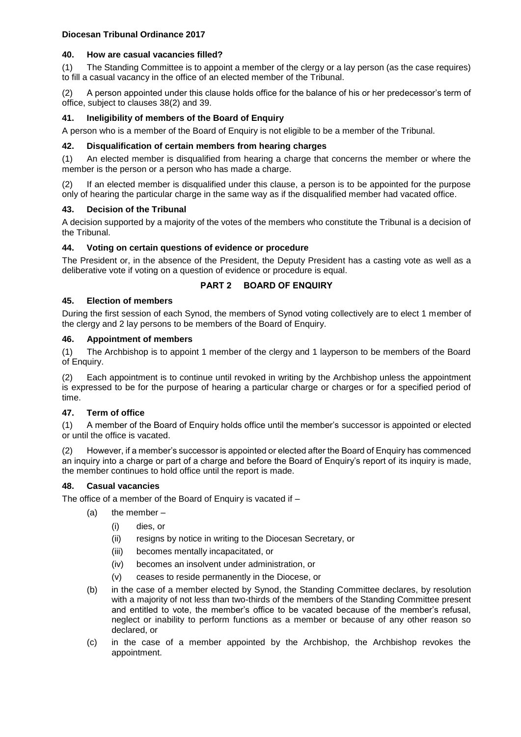#### **40. How are casual vacancies filled?**

(1) The Standing Committee is to appoint a member of the clergy or a lay person (as the case requires) to fill a casual vacancy in the office of an elected member of the Tribunal.

(2) A person appointed under this clause holds office for the balance of his or her predecessor's term of office, subject to clauses 38(2) and 39.

#### **41. Ineligibility of members of the Board of Enquiry**

A person who is a member of the Board of Enquiry is not eligible to be a member of the Tribunal.

#### **42. Disqualification of certain members from hearing charges**

(1) An elected member is disqualified from hearing a charge that concerns the member or where the member is the person or a person who has made a charge.

(2) If an elected member is disqualified under this clause, a person is to be appointed for the purpose only of hearing the particular charge in the same way as if the disqualified member had vacated office.

#### **43. Decision of the Tribunal**

A decision supported by a majority of the votes of the members who constitute the Tribunal is a decision of the Tribunal.

#### **44. Voting on certain questions of evidence or procedure**

The President or, in the absence of the President, the Deputy President has a casting vote as well as a deliberative vote if voting on a question of evidence or procedure is equal.

## **PART 2 BOARD OF ENQUIRY**

#### **45. Election of members**

During the first session of each Synod, the members of Synod voting collectively are to elect 1 member of the clergy and 2 lay persons to be members of the Board of Enquiry.

#### **46. Appointment of members**

(1) The Archbishop is to appoint 1 member of the clergy and 1 layperson to be members of the Board of Enquiry.

(2) Each appointment is to continue until revoked in writing by the Archbishop unless the appointment is expressed to be for the purpose of hearing a particular charge or charges or for a specified period of time.

## **47. Term of office**

(1) A member of the Board of Enquiry holds office until the member's successor is appointed or elected or until the office is vacated.

However, if a member's successor is appointed or elected after the Board of Enquiry has commenced an inquiry into a charge or part of a charge and before the Board of Enquiry's report of its inquiry is made, the member continues to hold office until the report is made.

## **48. Casual vacancies**

The office of a member of the Board of Enquiry is vacated if –

- (a) the member
	- (i) dies, or
	- (ii) resigns by notice in writing to the Diocesan Secretary, or
	- (iii) becomes mentally incapacitated, or
	- (iv) becomes an insolvent under administration, or
	- (v) ceases to reside permanently in the Diocese, or
- (b) in the case of a member elected by Synod, the Standing Committee declares, by resolution with a majority of not less than two-thirds of the members of the Standing Committee present and entitled to vote, the member's office to be vacated because of the member's refusal, neglect or inability to perform functions as a member or because of any other reason so declared, or
- (c) in the case of a member appointed by the Archbishop, the Archbishop revokes the appointment.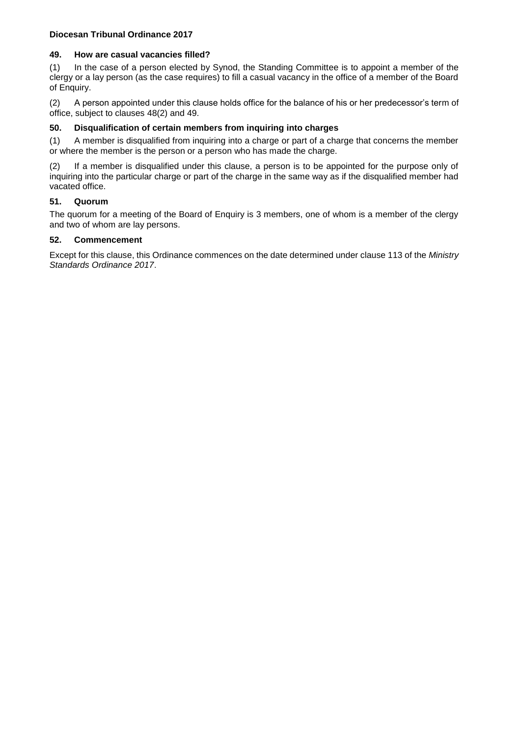#### **49. How are casual vacancies filled?**

(1) In the case of a person elected by Synod, the Standing Committee is to appoint a member of the clergy or a lay person (as the case requires) to fill a casual vacancy in the office of a member of the Board of Enquiry.

(2) A person appointed under this clause holds office for the balance of his or her predecessor's term of office, subject to clauses 48(2) and 49.

#### **50. Disqualification of certain members from inquiring into charges**

(1) A member is disqualified from inquiring into a charge or part of a charge that concerns the member or where the member is the person or a person who has made the charge.

(2) If a member is disqualified under this clause, a person is to be appointed for the purpose only of inquiring into the particular charge or part of the charge in the same way as if the disqualified member had vacated office.

## **51. Quorum**

The quorum for a meeting of the Board of Enquiry is 3 members, one of whom is a member of the clergy and two of whom are lay persons.

# **52. Commencement**

Except for this clause, this Ordinance commences on the date determined under clause 113 of the *Ministry Standards Ordinance 2017*.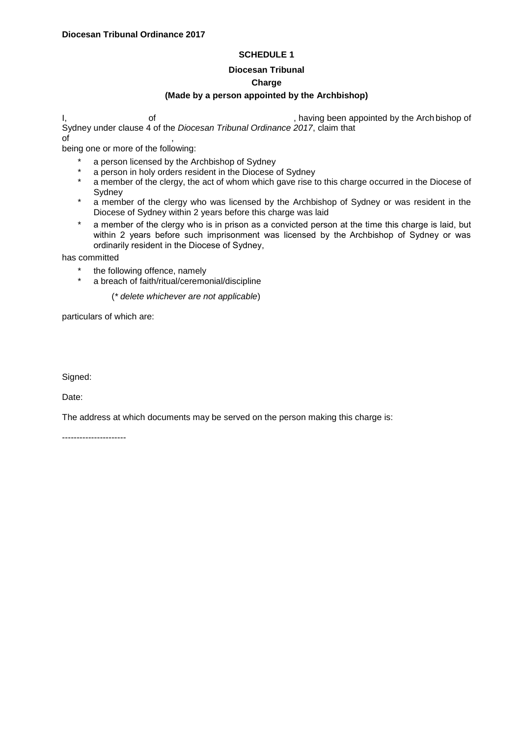## **SCHEDULE 1**

#### **Diocesan Tribunal Charge**

# **(Made by a person appointed by the Archbishop)**

I, and of the Contract of the Arch bishop of the Arch bishop of the Arch bishop of the Arch bishop of Sydney under clause 4 of the *Diocesan Tribunal Ordinance 2017*, claim that  $\mathsf{of}$  ,

being one or more of the following:

- a person licensed by the Archbishop of Sydney
- \* a person in holy orders resident in the Diocese of Sydney<br>\* a mamber of the element the est of whom which gave rise to
- a member of the clergy, the act of whom which gave rise to this charge occurred in the Diocese of **Sydney**
- \* a member of the clergy who was licensed by the Archbishop of Sydney or was resident in the Diocese of Sydney within 2 years before this charge was laid
- \* a member of the clergy who is in prison as a convicted person at the time this charge is laid, but within 2 years before such imprisonment was licensed by the Archbishop of Sydney or was ordinarily resident in the Diocese of Sydney,

has committed

- \* the following offence, namely
	- a breach of faith/ritual/ceremonial/discipline

(*\* delete whichever are not applicable*)

particulars of which are:

Signed:

Date:

The address at which documents may be served on the person making this charge is:

----------------------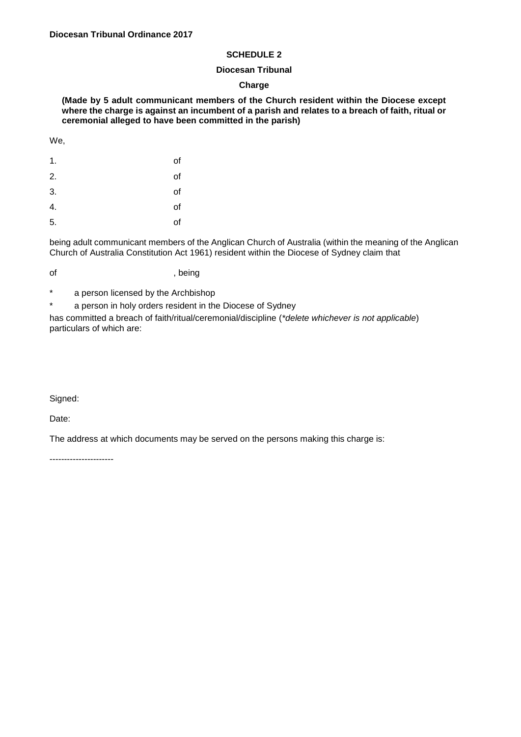#### **SCHEDULE 2**

#### **Diocesan Tribunal**

#### **Charge**

**(Made by 5 adult communicant members of the Church resident within the Diocese except where the charge is against an incumbent of a parish and relates to a breach of faith, ritual or ceremonial alleged to have been committed in the parish)**

We,

| 1. | of |
|----|----|
| 2. | of |
| 3. | of |
| 4. | of |
| 5. | of |

being adult communicant members of the Anglican Church of Australia (within the meaning of the Anglican Church of Australia Constitution Act 1961) resident within the Diocese of Sydney claim that

- of , being
- \* a person licensed by the Archbishop
- \* a person in holy orders resident in the Diocese of Sydney

has committed a breach of faith/ritual/ceremonial/discipline (*\*delete whichever is not applicable*) particulars of which are:

Signed:

Date:

The address at which documents may be served on the persons making this charge is:

----------------------